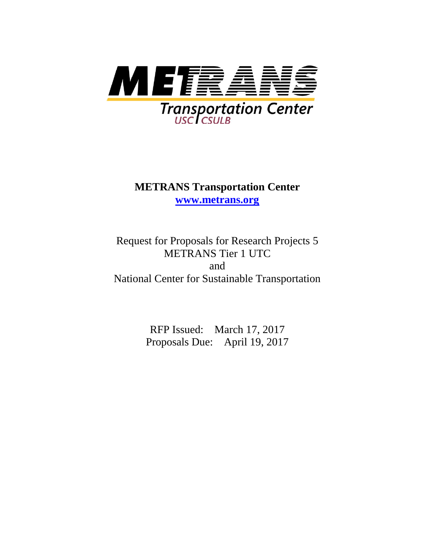

# **METRANS Transportation Center [www.metrans.org](http://www.metrans.org/)**

Request for Proposals for Research Projects 5 METRANS Tier 1 UTC and National Center for Sustainable Transportation

> RFP Issued: March 17, 2017 Proposals Due: April 19, 2017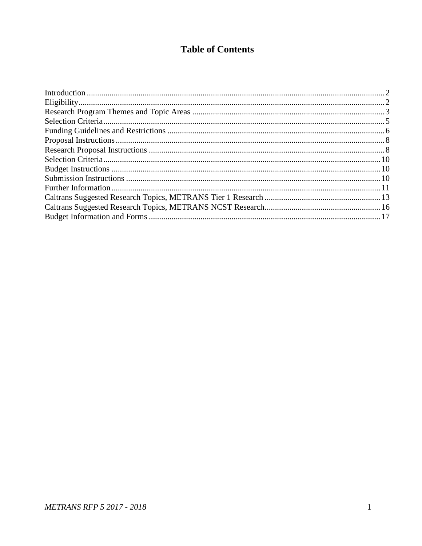### **Table of Contents**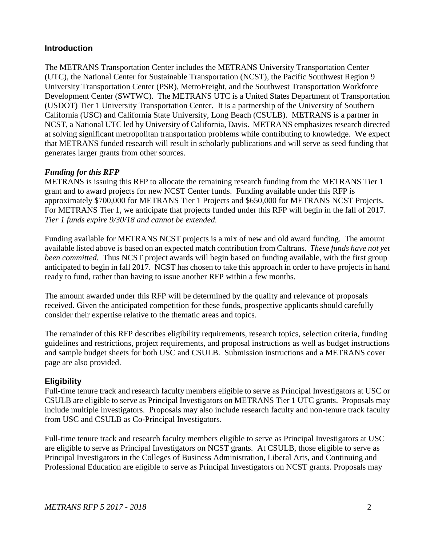### <span id="page-2-0"></span>**Introduction**

The METRANS Transportation Center includes the METRANS University Transportation Center (UTC), the National Center for Sustainable Transportation (NCST), the Pacific Southwest Region 9 University Transportation Center (PSR), MetroFreight, and the Southwest Transportation Workforce Development Center (SWTWC). The METRANS UTC is a United States Department of Transportation (USDOT) Tier 1 University Transportation Center. It is a partnership of the University of Southern California (USC) and California State University, Long Beach (CSULB). METRANS is a partner in NCST, a National UTC led by University of California, Davis. METRANS emphasizes research directed at solving significant metropolitan transportation problems while contributing to knowledge. We expect that METRANS funded research will result in scholarly publications and will serve as seed funding that generates larger grants from other sources.

#### *Funding for this RFP*

METRANS is issuing this RFP to allocate the remaining research funding from the METRANS Tier 1 grant and to award projects for new NCST Center funds. Funding available under this RFP is approximately \$700,000 for METRANS Tier 1 Projects and \$650,000 for METRANS NCST Projects. For METRANS Tier 1, we anticipate that projects funded under this RFP will begin in the fall of 2017. *Tier 1 funds expire 9/30/18 and cannot be extended.* 

Funding available for METRANS NCST projects is a mix of new and old award funding. The amount available listed above is based on an expected match contribution from Caltrans. *These funds have not yet been committed.* Thus NCST project awards will begin based on funding available, with the first group anticipated to begin in fall 2017. NCST has chosen to take this approach in order to have projects in hand ready to fund, rather than having to issue another RFP within a few months.

The amount awarded under this RFP will be determined by the quality and relevance of proposals received. Given the anticipated competition for these funds, prospective applicants should carefully consider their expertise relative to the thematic areas and topics.

The remainder of this RFP describes eligibility requirements, research topics, selection criteria, funding guidelines and restrictions, project requirements, and proposal instructions as well as budget instructions and sample budget sheets for both USC and CSULB. Submission instructions and a METRANS cover page are also provided.

### <span id="page-2-1"></span>**Eligibility**

Full-time tenure track and research faculty members eligible to serve as Principal Investigators at USC or CSULB are eligible to serve as Principal Investigators on METRANS Tier 1 UTC grants. Proposals may include multiple investigators. Proposals may also include research faculty and non-tenure track faculty from USC and CSULB as Co-Principal Investigators.

Full-time tenure track and research faculty members eligible to serve as Principal Investigators at USC are eligible to serve as Principal Investigators on NCST grants. At CSULB, those eligible to serve as Principal Investigators in the Colleges of Business Administration, Liberal Arts, and Continuing and Professional Education are eligible to serve as Principal Investigators on NCST grants. Proposals may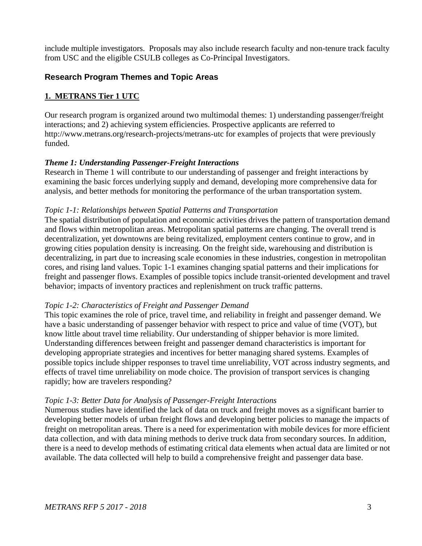<span id="page-3-0"></span>include multiple investigators. Proposals may also include research faculty and non-tenure track faculty from USC and the eligible CSULB colleges as Co-Principal Investigators.

### **Research Program Themes and Topic Areas**

### **1. METRANS Tier 1 UTC**

Our research program is organized around two multimodal themes: 1) understanding passenger/freight interactions; and 2) achieving system efficiencies. Prospective applicants are referred to http://www.metrans.org/research-projects/metrans-utc for examples of projects that were previously funded.

### *Theme 1: Understanding Passenger-Freight Interactions*

Research in Theme 1 will contribute to our understanding of passenger and freight interactions by examining the basic forces underlying supply and demand, developing more comprehensive data for analysis, and better methods for monitoring the performance of the urban transportation system.

### *Topic 1-1: Relationships between Spatial Patterns and Transportation*

The spatial distribution of population and economic activities drives the pattern of transportation demand and flows within metropolitan areas. Metropolitan spatial patterns are changing. The overall trend is decentralization, yet downtowns are being revitalized, employment centers continue to grow, and in growing cities population density is increasing. On the freight side, warehousing and distribution is decentralizing, in part due to increasing scale economies in these industries, congestion in metropolitan cores, and rising land values. Topic 1-1 examines changing spatial patterns and their implications for freight and passenger flows. Examples of possible topics include transit-oriented development and travel behavior; impacts of inventory practices and replenishment on truck traffic patterns.

### *Topic 1-2: Characteristics of Freight and Passenger Demand*

This topic examines the role of price, travel time, and reliability in freight and passenger demand. We have a basic understanding of passenger behavior with respect to price and value of time (VOT), but know little about travel time reliability. Our understanding of shipper behavior is more limited. Understanding differences between freight and passenger demand characteristics is important for developing appropriate strategies and incentives for better managing shared systems. Examples of possible topics include shipper responses to travel time unreliability, VOT across industry segments, and effects of travel time unreliability on mode choice. The provision of transport services is changing rapidly; how are travelers responding?

### *Topic 1-3: Better Data for Analysis of Passenger-Freight Interactions*

Numerous studies have identified the lack of data on truck and freight moves as a significant barrier to developing better models of urban freight flows and developing better policies to manage the impacts of freight on metropolitan areas. There is a need for experimentation with mobile devices for more efficient data collection, and with data mining methods to derive truck data from secondary sources. In addition, there is a need to develop methods of estimating critical data elements when actual data are limited or not available. The data collected will help to build a comprehensive freight and passenger data base.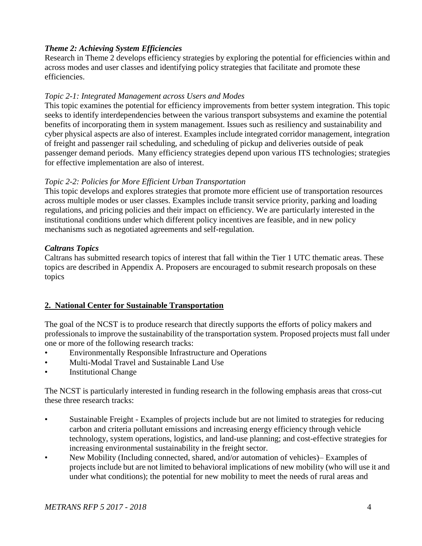### *Theme 2: Achieving System Efficiencies*

Research in Theme 2 develops efficiency strategies by exploring the potential for efficiencies within and across modes and user classes and identifying policy strategies that facilitate and promote these efficiencies.

#### *Topic 2-1: Integrated Management across Users and Modes*

This topic examines the potential for efficiency improvements from better system integration. This topic seeks to identify interdependencies between the various transport subsystems and examine the potential benefits of incorporating them in system management. Issues such as resiliency and sustainability and cyber physical aspects are also of interest. Examples include integrated corridor management, integration of freight and passenger rail scheduling, and scheduling of pickup and deliveries outside of peak passenger demand periods. Many efficiency strategies depend upon various ITS technologies; strategies for effective implementation are also of interest.

### *Topic 2-2: Policies for More Efficient Urban Transportation*

This topic develops and explores strategies that promote more efficient use of transportation resources across multiple modes or user classes. Examples include transit service priority, parking and loading regulations, and pricing policies and their impact on efficiency. We are particularly interested in the institutional conditions under which different policy incentives are feasible, and in new policy mechanisms such as negotiated agreements and self-regulation.

### *Caltrans Topics*

Caltrans has submitted research topics of interest that fall within the Tier 1 UTC thematic areas. These topics are described in Appendix A. Proposers are encouraged to submit research proposals on these topics

### **2. National Center for Sustainable Transportation**

The goal of the NCST is to produce research that directly supports the efforts of policy makers and professionals to improve the sustainability of the transportation system. Proposed projects must fall under one or more of the following research tracks:

- Environmentally Responsible Infrastructure and Operations
- Multi-Modal Travel and Sustainable Land Use
- **Institutional Change**

The NCST is particularly interested in funding research in the following emphasis areas that cross-cut these three research tracks:

- Sustainable Freight Examples of projects include but are not limited to strategies for reducing carbon and criteria pollutant emissions and increasing energy efficiency through vehicle technology, system operations, logistics, and land-use planning; and cost-effective strategies for increasing environmental sustainability in the freight sector.
- New Mobility (Including connected, shared, and/or automation of vehicles)– Examples of projects include but are not limited to behavioral implications of new mobility (who will use it and under what conditions); the potential for new mobility to meet the needs of rural areas and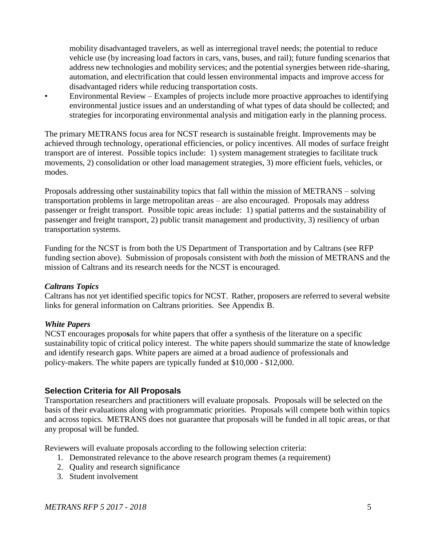mobility disadvantaged travelers, as well as interregional travel needs; the potential to reduce vehicle use (by increasing load factors in cars, vans, buses, and rail); future funding scenarios that address new technologies and mobility services; and the potential synergies between ride-sharing, automation, and electrification that could lessen environmental impacts and improve access for disadvantaged riders while reducing transportation costs.

• Environmental Review – Examples of projects include more proactive approaches to identifying environmental justice issues and an understanding of what types of data should be collected; and strategies for incorporating environmental analysis and mitigation early in the planning process.

The primary METRANS focus area for NCST research is sustainable freight. Improvements may be achieved through technology, operational efficiencies, or policy incentives. All modes of surface freight transport are of interest. Possible topics include: 1) system management strategies to facilitate truck movements, 2) consolidation or other load management strategies, 3) more efficient fuels, vehicles, or modes.

Proposals addressing other sustainability topics that fall within the mission of METRANS – solving transportation problems in large metropolitan areas – are also encouraged. Proposals may address passenger or freight transport. Possible topic areas include: 1) spatial patterns and the sustainability of passenger and freight transport, 2) public transit management and productivity, 3) resiliency of urban transportation systems.

Funding for the NCST is from both the US Department of Transportation and by Caltrans (see RFP funding section above). Submission of proposals consistent with *both* the mission of METRANS and the mission of Caltrans and its research needs for the NCST is encouraged.

#### *Caltrans Topics*

Caltrans has not yet identified specific topics for NCST. Rather, proposers are referred to several website links for general information on Caltrans priorities. See Appendix B.

#### *White Papers*

NCST encourages propo**s**als for white papers that offer a synthesis of the literature on a specific sustainability topic of critical policy interest. The white papers should summarize the state of knowledge and identify research gaps. White papers are aimed at a broad audience of professionals and policy-makers. The white papers are typically funded at \$10,000 - \$12,000.

### <span id="page-5-0"></span>**Selection Criteria for All Proposals**

Transportation researchers and practitioners will evaluate proposals. Proposals will be selected on the basis of their evaluations along with programmatic priorities. Proposals will compete both within topics and across topics. METRANS does not guarantee that proposals will be funded in all topic areas, or that any proposal will be funded.

Reviewers will evaluate proposals according to the following selection criteria:

- 1. Demonstrated relevance to the above research program themes (a requirement)
- 2. Quality and research significance
- 3. Student involvement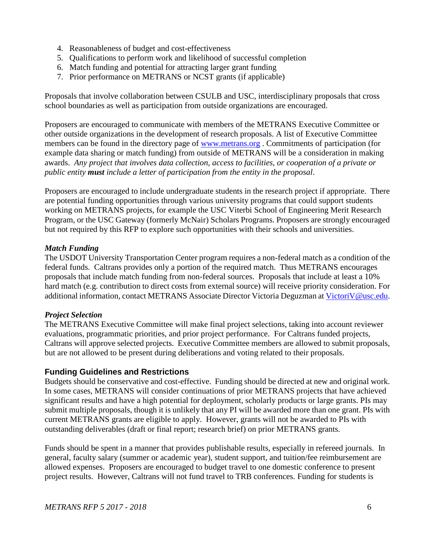- 4. Reasonableness of budget and cost-effectiveness
- 5. Qualifications to perform work and likelihood of successful completion
- 6. Match funding and potential for attracting larger grant funding
- 7. Prior performance on METRANS or NCST grants (if applicable)

Proposals that involve collaboration between CSULB and USC, interdisciplinary proposals that cross school boundaries as well as participation from outside organizations are encouraged.

Proposers are encouraged to communicate with members of the METRANS Executive Committee or other outside organizations in the development of research proposals. A list of Executive Committee members can be found in the directory page of [www.metrans.org](http://www.metrans.org/) . Commitments of participation (for example data sharing or match funding) from outside of METRANS will be a consideration in making awards. *Any project that involves data collection, access to facilities, or cooperation of a private or public entity must include a letter of participation from the entity in the proposal*.

Proposers are encouraged to include undergraduate students in the research project if appropriate. There are potential funding opportunities through various university programs that could support students working on METRANS projects, for example the USC Viterbi School of Engineering Merit Research Program, or the USC Gateway (formerly McNair) Scholars Programs. Proposers are strongly encouraged but not required by this RFP to explore such opportunities with their schools and universities.

#### *Match Funding*

The USDOT University Transportation Center program requires a non-federal match as a condition of the federal funds. Caltrans provides only a portion of the required match. Thus METRANS encourages proposals that include match funding from non-federal sources. Proposals that include at least a 10% hard match (e.g. contribution to direct costs from external source) will receive priority consideration. For additional information, contact METRANS Associate Director Victoria Deguzman at [VictoriV@usc.edu.](mailto:VictoriV@usc.edu)

### *Project Selection*

The METRANS Executive Committee will make final project selections, taking into account reviewer evaluations, programmatic priorities, and prior project performance. For Caltrans funded projects, Caltrans will approve selected projects. Executive Committee members are allowed to submit proposals, but are not allowed to be present during deliberations and voting related to their proposals.

### <span id="page-6-0"></span>**Funding Guidelines and Restrictions**

Budgets should be conservative and cost-effective. Funding should be directed at new and original work. In some cases, METRANS will consider continuations of prior METRANS projects that have achieved significant results and have a high potential for deployment, scholarly products or large grants. PIs may submit multiple proposals, though it is unlikely that any PI will be awarded more than one grant. PIs with current METRANS grants are eligible to apply. However, grants will not be awarded to PIs with outstanding deliverables (draft or final report; research brief) on prior METRANS grants.

Funds should be spent in a manner that provides publishable results, especially in refereed journals. In general, faculty salary (summer or academic year), student support, and tuition/fee reimbursement are allowed expenses. Proposers are encouraged to budget travel to one domestic conference to present project results. However, Caltrans will not fund travel to TRB conferences. Funding for students is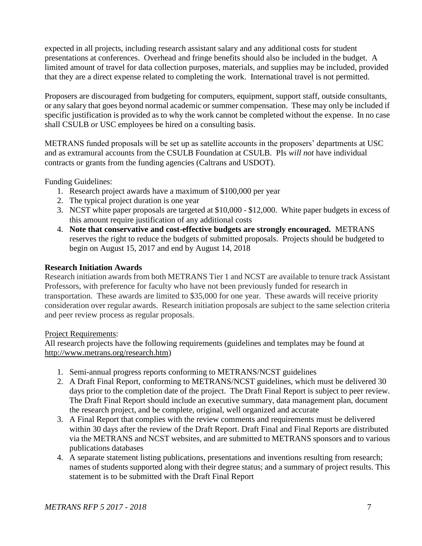expected in all projects, including research assistant salary and any additional costs for student presentations at conferences. Overhead and fringe benefits should also be included in the budget. A limited amount of travel for data collection purposes, materials, and supplies may be included, provided that they are a direct expense related to completing the work. International travel is not permitted.

Proposers are discouraged from budgeting for computers, equipment, support staff, outside consultants, or any salary that goes beyond normal academic or summer compensation. These may only be included if specific justification is provided as to why the work cannot be completed without the expense. In no case shall CSULB or USC employees be hired on a consulting basis.

METRANS funded proposals will be set up as satellite accounts in the proposers' departments at USC and as extramural accounts from the CSULB Foundation at CSULB. PIs *will not* have individual contracts or grants from the funding agencies (Caltrans and USDOT).

Funding Guidelines:

- 1. Research project awards have a maximum of \$100,000 per year
- 2. The typical project duration is one year
- 3. NCST white paper proposals are targeted at \$10,000 \$12,000. White paper budgets in excess of this amount require justification of any additional costs
- 4. **Note that conservative and cost-effective budgets are strongly encouraged.** METRANS reserves the right to reduce the budgets of submitted proposals. Projects should be budgeted to begin on August 15, 2017 and end by August 14, 2018

### **Research Initiation Awards**

Research initiation awards from both METRANS Tier 1 and NCST are available to tenure track Assistant Professors, with preference for faculty who have not been previously funded for research in transportation. These awards are limited to \$35,000 for one year. These awards will receive priority consideration over regular awards. Research initiation proposals are subject to the same selection criteria and peer review process as regular proposals.

### Project Requirements:

All research projects have the following requirements (guidelines and templates may be found at [http://www.metrans.org/research.htm\)](http://www.metrans.org/research.htm)

- 1. Semi-annual progress reports conforming to METRANS/NCST guidelines
- 2. A Draft Final Report, conforming to METRANS/NCST guidelines, which must be delivered 30 days prior to the completion date of the project. The Draft Final Report is subject to peer review. The Draft Final Report should include an executive summary, data management plan, document the research project, and be complete, original, well organized and accurate
- 3. A Final Report that complies with the review comments and requirements must be delivered within 30 days after the review of the Draft Report. Draft Final and Final Reports are distributed via the METRANS and NCST websites, and are submitted to METRANS sponsors and to various publications databases
- 4. A separate statement listing publications, presentations and inventions resulting from research; names of students supported along with their degree status; and a summary of project results. This statement is to be submitted with the Draft Final Report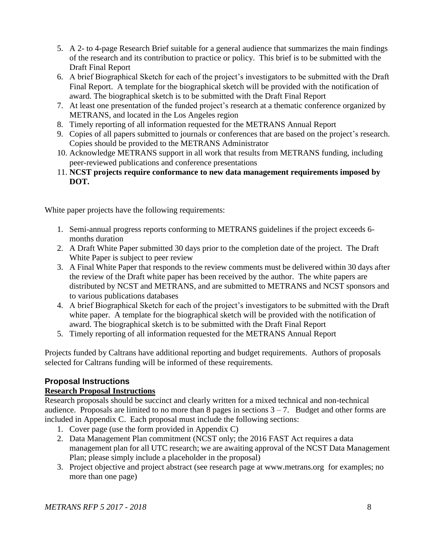- 5. A 2- to 4-page Research Brief suitable for a general audience that summarizes the main findings of the research and its contribution to practice or policy. This brief is to be submitted with the Draft Final Report
- 6. A brief Biographical Sketch for each of the project's investigators to be submitted with the Draft Final Report. A template for the biographical sketch will be provided with the notification of award. The biographical sketch is to be submitted with the Draft Final Report
- 7. At least one presentation of the funded project's research at a thematic conference organized by METRANS, and located in the Los Angeles region
- 8. Timely reporting of all information requested for the METRANS Annual Report
- 9. Copies of all papers submitted to journals or conferences that are based on the project's research. Copies should be provided to the METRANS Administrator
- 10. Acknowledge METRANS support in all work that results from METRANS funding, including peer-reviewed publications and conference presentations
- 11. **NCST projects require conformance to new data management requirements imposed by DOT.**

White paper projects have the following requirements:

- 1. Semi-annual progress reports conforming to METRANS guidelines if the project exceeds 6 months duration
- 2. A Draft White Paper submitted 30 days prior to the completion date of the project. The Draft White Paper is subject to peer review
- 3. A Final White Paper that responds to the review comments must be delivered within 30 days after the review of the Draft white paper has been received by the author. The white papers are distributed by NCST and METRANS, and are submitted to METRANS and NCST sponsors and to various publications databases
- 4. A brief Biographical Sketch for each of the project's investigators to be submitted with the Draft white paper. A template for the biographical sketch will be provided with the notification of award. The biographical sketch is to be submitted with the Draft Final Report
- 5. Timely reporting of all information requested for the METRANS Annual Report

Projects funded by Caltrans have additional reporting and budget requirements. Authors of proposals selected for Caltrans funding will be informed of these requirements.

### <span id="page-8-0"></span>**Proposal Instructions**

### <span id="page-8-1"></span>**Research Proposal Instructions**

Research proposals should be succinct and clearly written for a mixed technical and non-technical audience. Proposals are limited to no more than  $8$  pages in sections  $3 - 7$ . Budget and other forms are included in Appendix C. Each proposal must include the following sections:

- 1. Cover page (use the form provided in Appendix C)
- 2. Data Management Plan commitment (NCST only; the 2016 FAST Act requires a data management plan for all UTC research; we are awaiting approval of the NCST Data Management Plan; please simply include a placeholder in the proposal)
- 3. Project objective and project abstract (see research page at [www.metrans.org](http://www.metrans.org/) for examples; no more than one page)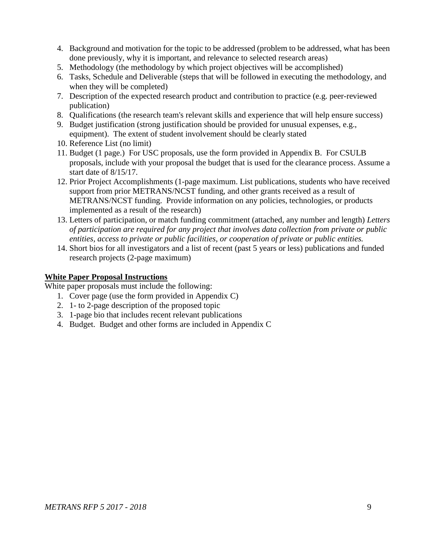- 4. Background and motivation for the topic to be addressed (problem to be addressed, what has been done previously, why it is important, and relevance to selected research areas)
- 5. Methodology (the methodology by which project objectives will be accomplished)
- 6. Tasks, Schedule and Deliverable (steps that will be followed in executing the methodology, and when they will be completed)
- 7. Description of the expected research product and contribution to practice (e.g. peer-reviewed publication)
- 8. Qualifications (the research team's relevant skills and experience that will help ensure success)
- 9. Budget justification (strong justification should be provided for unusual expenses, e.g., equipment). The extent of student involvement should be clearly stated
- 10. Reference List (no limit)
- 11. Budget (1 page.) For USC proposals, use the form provided in Appendix B. For CSULB proposals, include with your proposal the budget that is used for the clearance process. Assume a start date of 8/15/17.
- 12. Prior Project Accomplishments (1-page maximum. List publications, students who have received support from prior METRANS/NCST funding, and other grants received as a result of METRANS/NCST funding. Provide information on any policies, technologies, or products implemented as a result of the research)
- 13. Letters of participation, or match funding commitment (attached, any number and length) *Letters of participation are required for any project that involves data collection from private or public entities, access to private or public facilities, or cooperation of private or public entities.*
- 14. Short bios for all investigators and a list of recent (past 5 years or less) publications and funded research projects (2-page maximum)

### **White Paper Proposal Instructions**

White paper proposals must include the following:

- 1. Cover page (use the form provided in Appendix C)
- 2. 1- to 2-page description of the proposed topic
- 3. 1-page bio that includes recent relevant publications
- 4. Budget. Budget and other forms are included in Appendix C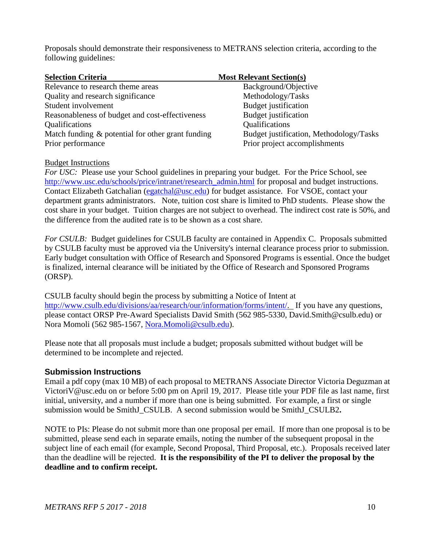Proposals should demonstrate their responsiveness to METRANS selection criteria, according to the following guidelines:

<span id="page-10-0"></span>

| <b>Selection Criteria</b>                            | <b>Most Relevant Section(s)</b>         |
|------------------------------------------------------|-----------------------------------------|
| Relevance to research theme areas                    | Background/Objective                    |
| Quality and research significance                    | Methodology/Tasks                       |
| Student involvement                                  | <b>Budget</b> justification             |
| Reasonableness of budget and cost-effectiveness      | <b>Budget</b> justification             |
| <b>Qualifications</b>                                | Qualifications                          |
| Match funding $\&$ potential for other grant funding | Budget justification, Methodology/Tasks |
| Prior performance                                    | Prior project accomplishments           |

#### <span id="page-10-1"></span>Budget Instructions

*For USC:* Please use your School guidelines in preparing your budget. For the Price School, see [http://www.usc.edu/schools/price/intranet/research\\_admin.html](http://www.usc.edu/schools/price/intranet/research_admin.html) for proposal and budget instructions. Contact Elizabeth Gatchalian [\(egatchal@usc.edu\)](mailto:egatchal@usc.edu) for budget assistance. For VSOE, contact your department grants administrators. Note, tuition cost share is limited to PhD students. Please show the cost share in your budget. Tuition charges are not subject to overhead. The indirect cost rate is 50%, and the difference from the audited rate is to be shown as a cost share.

*For CSULB:* Budget guidelines for CSULB faculty are contained in Appendix C. Proposals submitted by CSULB faculty must be approved via the University's internal clearance process prior to submission. Early budget consultation with Office of Research and Sponsored Programs is essential. Once the budget is finalized, internal clearance will be initiated by the Office of Research and Sponsored Programs (ORSP).

CSULB faculty should begin the process by submitting a Notice of Intent at [http://www.csulb.edu/divisions/aa/research/our/information/forms/intent/.](http://www.csulb.edu/divisions/aa/research/our/information/forms/intent/) If you have any questions, please contact ORSP Pre-Award Specialists David Smith (562 985-5330, David.Smith@csulb.edu) or Nora Momoli (562 985-1567, [Nora.Momoli@csulb.edu\)](mailto:Nora.Momoli@csulb.edu).

Please note that all proposals must include a budget; proposals submitted without budget will be determined to be incomplete and rejected.

### <span id="page-10-2"></span>**Submission Instructions**

Email a pdf copy (max 10 MB) of each proposal to METRANS Associate Director Victoria Deguzman at VictoriV@usc.edu on or before 5:00 pm on April 19, 2017. Please title your PDF file as last name, first initial, university, and a number if more than one is being submitted. For example, a first or single submission would be SmithJ\_CSULB. A second submission would be SmithJ\_CSULB2**.** 

NOTE to PIs: Please do not submit more than one proposal per email. If more than one proposal is to be submitted, please send each in separate emails, noting the number of the subsequent proposal in the subject line of each email (for example, Second Proposal, Third Proposal, etc.). Proposals received later than the deadline will be rejected. **It is the responsibility of the PI to deliver the proposal by the deadline and to confirm receipt.**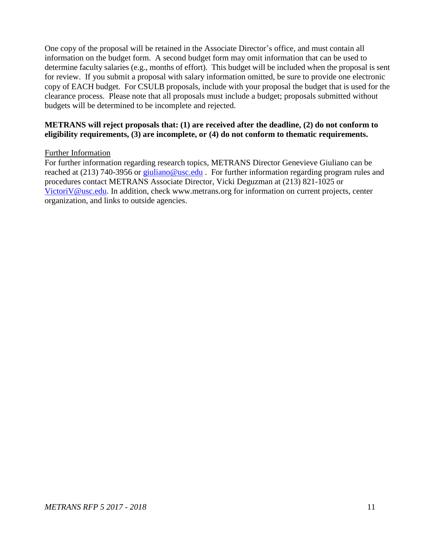One copy of the proposal will be retained in the Associate Director's office, and must contain all information on the budget form. A second budget form may omit information that can be used to determine faculty salaries (e.g., months of effort). This budget will be included when the proposal is sent for review. If you submit a proposal with salary information omitted, be sure to provide one electronic copy of EACH budget. For CSULB proposals, include with your proposal the budget that is used for the clearance process. Please note that all proposals must include a budget; proposals submitted without budgets will be determined to be incomplete and rejected.

#### **METRANS will reject proposals that: (1) are received after the deadline, (2) do not conform to eligibility requirements, (3) are incomplete, or (4) do not conform to thematic requirements.**

#### <span id="page-11-0"></span>Further Information

For further information regarding research topics, METRANS Director Genevieve Giuliano can be reached at (213) 740-3956 or [giuliano@usc.edu](mailto:giuliano@usc.edu). For further information regarding program rules and procedures contact METRANS Associate Director, Vicki Deguzman at (213) 821-1025 or [VictoriV@usc.edu.](mailto:VictoriV@usc.edu) In addition, check [www.metrans.org](http://www.metrans.org/) for information on current projects, center organization, and links to outside agencies.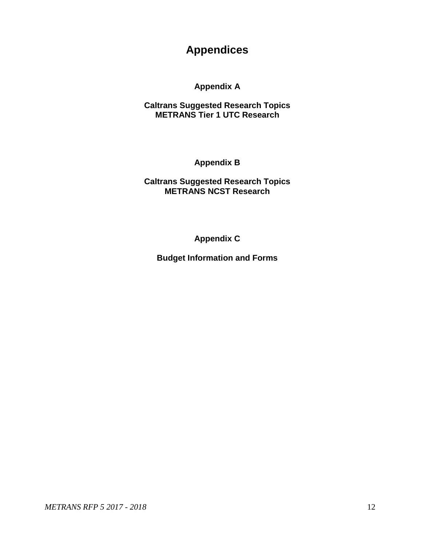# **Appendices**

### **Appendix A**

### **Caltrans Suggested Research Topics METRANS Tier 1 UTC Research**

**Appendix B**

**Caltrans Suggested Research Topics METRANS NCST Research**

**Appendix C**

**Budget Information and Forms**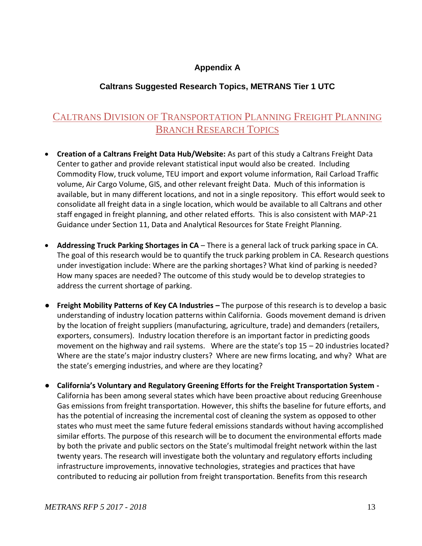### **Appendix A**

### **Caltrans Suggested Research Topics, METRANS Tier 1 UTC**

## <span id="page-13-0"></span>CALTRANS DIVISION OF TRANSPORTATION PLANNING FREIGHT PLANNING BRANCH RESEARCH TOPICS

- **Creation of a Caltrans Freight Data Hub/Website:** As part of this study a Caltrans Freight Data Center to gather and provide relevant statistical input would also be created. Including Commodity Flow, truck volume, TEU import and export volume information, Rail Carload Traffic volume, Air Cargo Volume, GIS, and other relevant freight Data. Much of this information is available, but in many different locations, and not in a single repository. This effort would seek to consolidate all freight data in a single location, which would be available to all Caltrans and other staff engaged in freight planning, and other related efforts. This is also consistent with MAP-21 Guidance under Section 11, Data and Analytical Resources for State Freight Planning.
- **Addressing Truck Parking Shortages in CA**  There is a general lack of truck parking space in CA. The goal of this research would be to quantify the truck parking problem in CA. Research questions under investigation include: Where are the parking shortages? What kind of parking is needed? How many spaces are needed? The outcome of this study would be to develop strategies to address the current shortage of parking.
- **Freight Mobility Patterns of Key CA Industries –** The purpose of this research is to develop a basic understanding of industry location patterns within California. Goods movement demand is driven by the location of freight suppliers (manufacturing, agriculture, trade) and demanders (retailers, exporters, consumers). Industry location therefore is an important factor in predicting goods movement on the highway and rail systems. Where are the state's top 15 – 20 industries located? Where are the state's major industry clusters? Where are new firms locating, and why? What are the state's emerging industries, and where are they locating?
- **California's Voluntary and Regulatory Greening Efforts for the Freight Transportation System -** California has been among several states which have been proactive about reducing Greenhouse Gas emissions from freight transportation. However, this shifts the baseline for future efforts, and has the potential of increasing the incremental cost of cleaning the system as opposed to other states who must meet the same future federal emissions standards without having accomplished similar efforts. The purpose of this research will be to document the environmental efforts made by both the private and public sectors on the State's multimodal freight network within the last twenty years. The research will investigate both the voluntary and regulatory efforts including infrastructure improvements, innovative technologies, strategies and practices that have contributed to reducing air pollution from freight transportation. Benefits from this research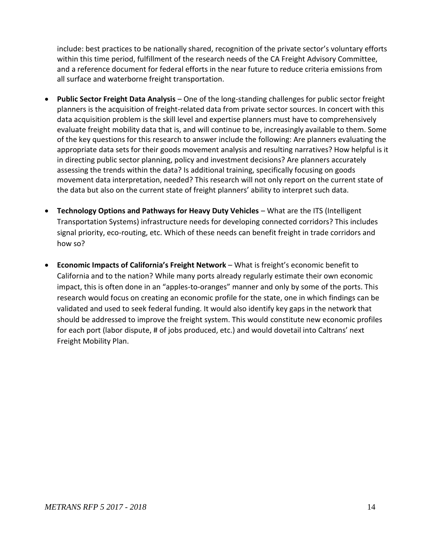include: best practices to be nationally shared, recognition of the private sector's voluntary efforts within this time period, fulfillment of the research needs of the CA Freight Advisory Committee, and a reference document for federal efforts in the near future to reduce criteria emissions from all surface and waterborne freight transportation.

- **Public Sector Freight Data Analysis** One of the long-standing challenges for public sector freight planners is the acquisition of freight-related data from private sector sources. In concert with this data acquisition problem is the skill level and expertise planners must have to comprehensively evaluate freight mobility data that is, and will continue to be, increasingly available to them. Some of the key questions for this research to answer include the following: Are planners evaluating the appropriate data sets for their goods movement analysis and resulting narratives? How helpful is it in directing public sector planning, policy and investment decisions? Are planners accurately assessing the trends within the data? Is additional training, specifically focusing on goods movement data interpretation, needed? This research will not only report on the current state of the data but also on the current state of freight planners' ability to interpret such data.
- **Technology Options and Pathways for Heavy Duty Vehicles** What are the ITS (Intelligent Transportation Systems) infrastructure needs for developing connected corridors? This includes signal priority, eco-routing, etc. Which of these needs can benefit freight in trade corridors and how so?
- **Economic Impacts of California's Freight Network** What is freight's economic benefit to California and to the nation? While many ports already regularly estimate their own economic impact, this is often done in an "apples-to-oranges" manner and only by some of the ports. This research would focus on creating an economic profile for the state, one in which findings can be validated and used to seek federal funding. It would also identify key gaps in the network that should be addressed to improve the freight system. This would constitute new economic profiles for each port (labor dispute, # of jobs produced, etc.) and would dovetail into Caltrans' next Freight Mobility Plan.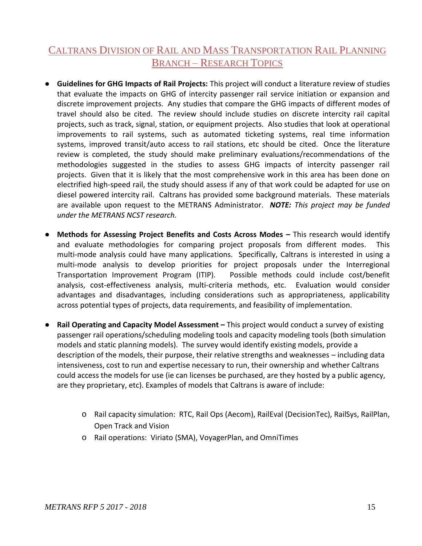## CALTRANS DIVISION OF RAIL AND MASS TRANSPORTATION RAIL PLANNING BRANCH – RESEARCH TOPICS

- **Guidelines for GHG Impacts of Rail Projects:** This project will conduct a literature review of studies that evaluate the impacts on GHG of intercity passenger rail service initiation or expansion and discrete improvement projects. Any studies that compare the GHG impacts of different modes of travel should also be cited. The review should include studies on discrete intercity rail capital projects, such as track, signal, station, or equipment projects. Also studies that look at operational improvements to rail systems, such as automated ticketing systems, real time information systems, improved transit/auto access to rail stations, etc should be cited. Once the literature review is completed, the study should make preliminary evaluations/recommendations of the methodologies suggested in the studies to assess GHG impacts of intercity passenger rail projects. Given that it is likely that the most comprehensive work in this area has been done on electrified high-speed rail, the study should assess if any of that work could be adapted for use on diesel powered intercity rail. Caltrans has provided some background materials. These materials are available upon request to the METRANS Administrator. *NOTE: This project may be funded under the METRANS NCST research.*
- **•** Methods for Assessing Project Benefits and Costs Across Modes This research would identify and evaluate methodologies for comparing project proposals from different modes. This multi-mode analysis could have many applications. Specifically, Caltrans is interested in using a multi-mode analysis to develop priorities for project proposals under the Interregional Transportation Improvement Program (ITIP). Possible methods could include cost/benefit analysis, cost-effectiveness analysis, multi-criteria methods, etc. Evaluation would consider advantages and disadvantages, including considerations such as appropriateness, applicability across potential types of projects, data requirements, and feasibility of implementation.
- **Rail Operating and Capacity Model Assessment This project would conduct a survey of existing** passenger rail operations/scheduling modeling tools and capacity modeling tools (both simulation models and static planning models). The survey would identify existing models, provide a description of the models, their purpose, their relative strengths and weaknesses – including data intensiveness, cost to run and expertise necessary to run, their ownership and whether Caltrans could access the models for use (ie can licenses be purchased, are they hosted by a public agency, are they proprietary, etc). Examples of models that Caltrans is aware of include:
	- o Rail capacity simulation: RTC, Rail Ops (Aecom), RailEval (DecisionTec), RailSys, RailPlan, Open Track and Vision
	- o Rail operations: Viriato (SMA), VoyagerPlan, and OmniTimes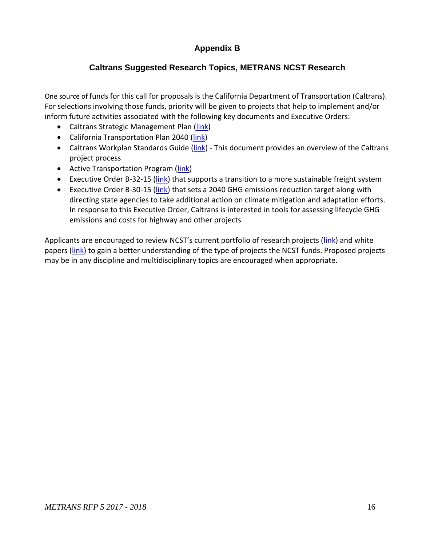### **Appendix B**

### **Caltrans Suggested Research Topics, METRANS NCST Research**

<span id="page-16-0"></span>One source of funds for this call for proposals is the California Department of Transportation (Caltrans). For selections involving those funds, priority will be given to projects that help to implement and/or inform future activities associated with the following key documents and Executive Orders:

- Caltrans Strategic Management Plan [\(link\)](http://www.dot.ca.gov/perf/library/pdf/Caltrans_Strategic_Mgmt_Plan_033015.pdf)
- California Transportation Plan 2040 [\(link\)](http://www.dot.ca.gov/hq/tpp/californiatransportationplan2040/2040.html)
- Caltrans Workplan Standards Guide [\(link\)](http://www.dot.ca.gov/hq/projmgmt/documents/wsg/Workplan_Standard-Guide_V-11-1_2015-10-05.pdf) This document provides an overview of the Caltrans project process
- Active Transportation Program [\(link\)](http://www.dot.ca.gov/hq/LocalPrograms/atp/index.html)
- Executive Order B-32-15 [\(link\)](https://www.gov.ca.gov/news.php?id=19046) that supports a transition to a more sustainable freight system
- Executive Order B-30-15 [\(link\)](https://www.gov.ca.gov/news.php?id=18938) that sets a 2040 GHG emissions reduction target along with directing state agencies to take additional action on climate mitigation and adaptation efforts. In response to this Executive Order, Caltrans is interested in tools for assessing lifecycle GHG emissions and costs for highway and other projects

Applicants are encouraged to review NCST's current portfolio of research projects ([link\)](http://ncst.ucdavis.edu/research/current-projects/) and white papers [\(link\)](http://ncst.ucdavis.edu/research/white-papers/) to gain a better understanding of the type of projects the NCST funds. Proposed projects may be in any discipline and multidisciplinary topics are encouraged when appropriate.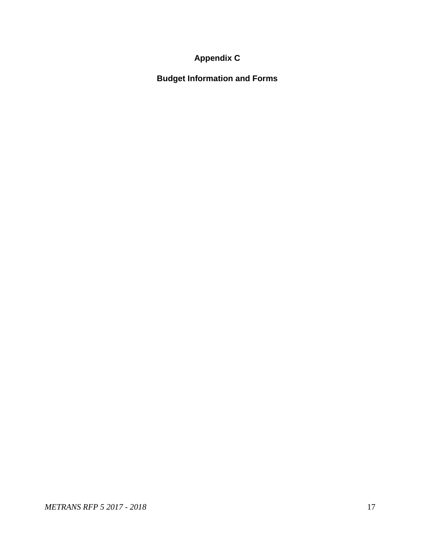# **Appendix C**

<span id="page-17-0"></span>**Budget Information and Forms**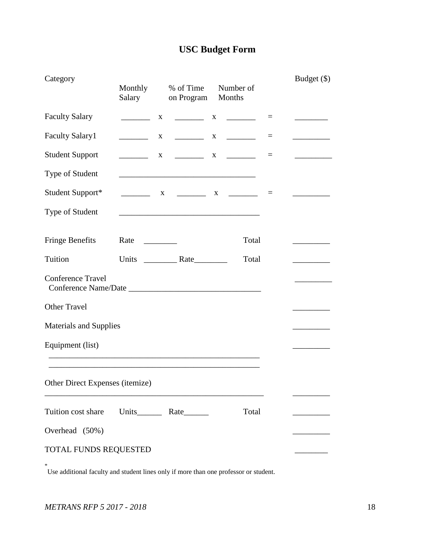# **USC Budget Form**

| Category                        | Monthly<br>Salary               |              | % of Time<br>on Program                                                                                               | Number of<br>Months |          | Budget (\$)                           |
|---------------------------------|---------------------------------|--------------|-----------------------------------------------------------------------------------------------------------------------|---------------------|----------|---------------------------------------|
| <b>Faculty Salary</b>           |                                 | $\mathbf{X}$ |                                                                                                                       |                     |          |                                       |
| <b>Faculty Salary1</b>          |                                 | X            |                                                                                                                       |                     |          | <u> 1990 - Jan Barnett, politik e</u> |
| <b>Student Support</b>          |                                 | $\mathbf{X}$ | $\begin{array}{ccccccccccccc}\n & & X & & \n & & & \n\end{array}$                                                     |                     | $\equiv$ |                                       |
| Type of Student                 |                                 |              | <u> 1989 - Johann Barbara, martin amerikan basar dan berasal dalam basa dalam basar dalam basar dalam basa dalam</u>  |                     |          |                                       |
| Student Support*                |                                 |              |                                                                                                                       |                     | $\equiv$ |                                       |
| Type of Student                 |                                 |              | <u> 1989 - Johann Stoff, deutscher Stoff, der Stoff, der Stoff, der Stoff, der Stoff, der Stoff, der Stoff, der S</u> |                     |          |                                       |
| <b>Fringe Benefits</b>          | Rate<br><u> 1999 - Jan Jawa</u> |              |                                                                                                                       | Total               |          |                                       |
| Tuition                         |                                 |              | Units Rate                                                                                                            | Total               |          |                                       |
| <b>Conference Travel</b>        |                                 |              |                                                                                                                       |                     |          |                                       |
| <b>Other Travel</b>             |                                 |              |                                                                                                                       |                     |          |                                       |
| <b>Materials and Supplies</b>   |                                 |              |                                                                                                                       |                     |          |                                       |
| Equipment (list)                |                                 |              |                                                                                                                       |                     |          |                                       |
| Other Direct Expenses (itemize) |                                 |              |                                                                                                                       |                     |          |                                       |
| Tuition cost share              |                                 |              |                                                                                                                       | Total               |          |                                       |
| Overhead (50%)                  |                                 |              |                                                                                                                       |                     |          |                                       |
| TOTAL FUNDS REQUESTED           |                                 |              |                                                                                                                       |                     |          |                                       |
| *                               |                                 |              |                                                                                                                       |                     |          |                                       |

Use additional faculty and student lines only if more than one professor or student.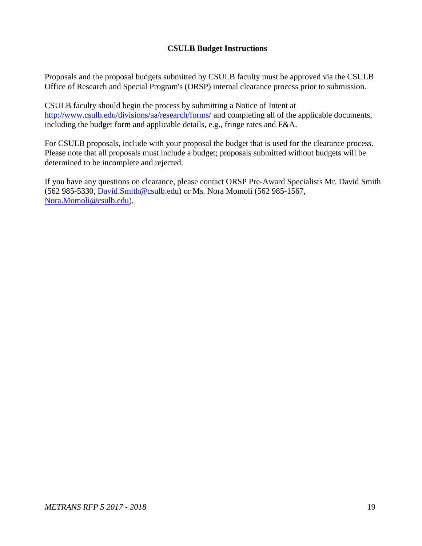### **CSULB Budget Instructions**

Proposals and the proposal budgets submitted by CSULB faculty must be approved via the CSULB Office of Research and Special Program's (ORSP) internal clearance process prior to submission.

CSULB faculty should begin the process by submitting a Notice of Intent at <http://www.csulb.edu/divisions/aa/research/forms/> and completing all of the applicable documents, including the budget form and applicable details, e.g., fringe rates and F&A.

For CSULB proposals, include with your proposal the budget that is used for the clearance process. Please note that all proposals must include a budget; proposals submitted without budgets will be determined to be incomplete and rejected.

If you have any questions on clearance, please contact ORSP Pre-Award Specialists Mr. David Smith (562 985-5330, [David.Smith@csulb.edu\)](mailto:David.Smith@csulb.edu) or Ms. Nora Momoli (562 985-1567, [Nora.Momoli@csulb.edu\)](mailto:Nora.Momoli@csulb.edu).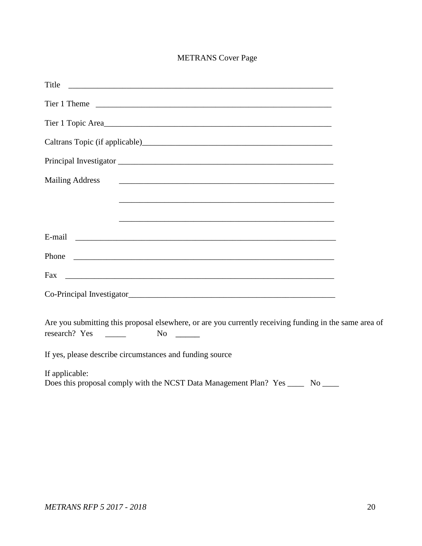### METRANS Cover Page

| Title                                                                                                  |  |
|--------------------------------------------------------------------------------------------------------|--|
|                                                                                                        |  |
| Tier 1 Topic Area                                                                                      |  |
|                                                                                                        |  |
| Principal Investigator                                                                                 |  |
| <b>Mailing Address</b>                                                                                 |  |
|                                                                                                        |  |
|                                                                                                        |  |
|                                                                                                        |  |
|                                                                                                        |  |
| Fax                                                                                                    |  |
|                                                                                                        |  |
| Are you submitting this proposal elsewhere, or are you currently receiving funding in the same area of |  |
| If yes, please describe circumstances and funding source                                               |  |
| If applicable:                                                                                         |  |
| Does this proposal comply with the NCST Data Management Plan? Yes ____<br>$No$ <sub>____</sub>         |  |